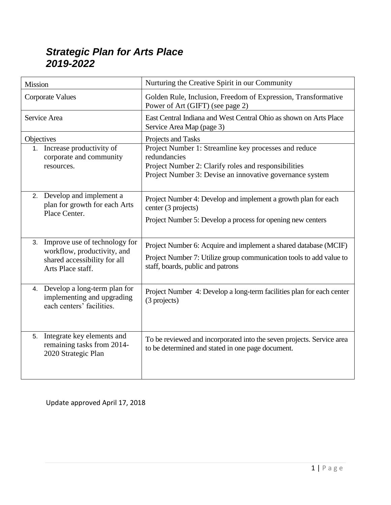#### *Strategic Plan for Arts Place 2019-2022*

| Mission                                                                                                              | Nurturing the Creative Spirit in our Community                                                                                                                                            |  |
|----------------------------------------------------------------------------------------------------------------------|-------------------------------------------------------------------------------------------------------------------------------------------------------------------------------------------|--|
| <b>Corporate Values</b>                                                                                              | Golden Rule, Inclusion, Freedom of Expression, Transformative<br>Power of Art (GIFT) (see page 2)                                                                                         |  |
| Service Area                                                                                                         | East Central Indiana and West Central Ohio as shown on Arts Place<br>Service Area Map (page 3)                                                                                            |  |
| Objectives                                                                                                           | Projects and Tasks                                                                                                                                                                        |  |
| 1. Increase productivity of<br>corporate and community<br>resources.                                                 | Project Number 1: Streamline key processes and reduce<br>redundancies<br>Project Number 2: Clarify roles and responsibilities<br>Project Number 3: Devise an innovative governance system |  |
| 2. Develop and implement a<br>plan for growth for each Arts<br>Place Center.                                         | Project Number 4: Develop and implement a growth plan for each<br>center (3 projects)<br>Project Number 5: Develop a process for opening new centers                                      |  |
| 3. Improve use of technology for<br>workflow, productivity, and<br>shared accessibility for all<br>Arts Place staff. | Project Number 6: Acquire and implement a shared database (MCIF)<br>Project Number 7: Utilize group communication tools to add value to<br>staff, boards, public and patrons              |  |
| 4. Develop a long-term plan for<br>implementing and upgrading<br>each centers' facilities.                           | Project Number 4: Develop a long-term facilities plan for each center<br>(3 projects)                                                                                                     |  |
| 5. Integrate key elements and<br>remaining tasks from 2014-<br>2020 Strategic Plan                                   | To be reviewed and incorporated into the seven projects. Service area<br>to be determined and stated in one page document.                                                                |  |

Update approved April 17, 2018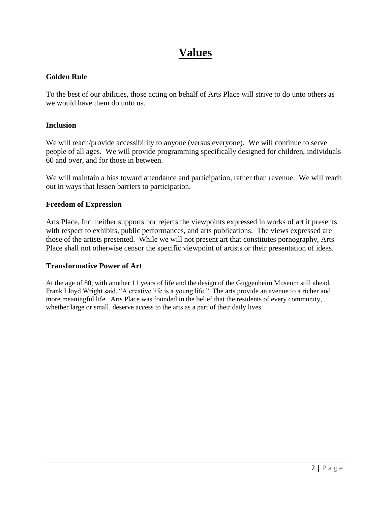#### **Values**

#### **Golden Rule**

To the best of our abilities, those acting on behalf of Arts Place will strive to do unto others as we would have them do unto us.

#### **Inclusion**

We will reach/provide accessibility to anyone (versus everyone). We will continue to serve people of all ages. We will provide programming specifically designed for children, individuals 60 and over, and for those in between.

We will maintain a bias toward attendance and participation, rather than revenue. We will reach out in ways that lessen barriers to participation.

#### **Freedom of Expression**

Arts Place, Inc. neither supports nor rejects the viewpoints expressed in works of art it presents with respect to exhibits, public performances, and arts publications. The views expressed are those of the artists presented. While we will not present art that constitutes pornography, Arts Place shall not otherwise censor the specific viewpoint of artists or their presentation of ideas.

#### **Transformative Power of Art**

At the age of 80, with another 11 years of life and the design of the Guggenheim Museum still ahead, Frank Lloyd Wright said, "A creative life is a young life." The arts provide an avenue to a richer and more meaningful life. Arts Place was founded in the belief that the residents of every community, whether large or small, deserve access to the arts as a part of their daily lives.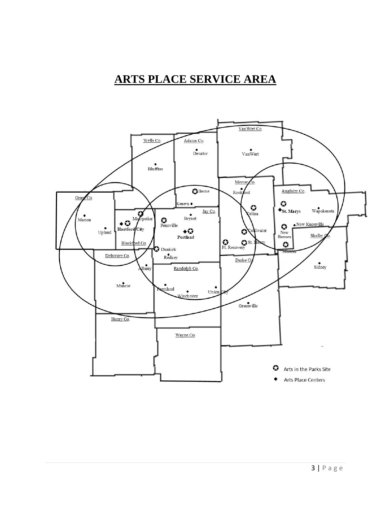#### **ARTS PLACE SERVICE AREA**

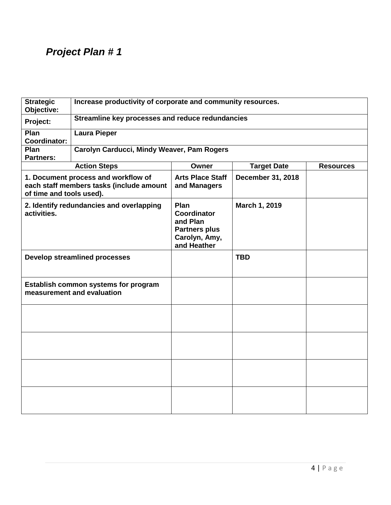| <b>Strategic</b><br>Objective:                                     | Increase productivity of corporate and community resources.                                                                                     |                                                                                         |                    |                  |  |
|--------------------------------------------------------------------|-------------------------------------------------------------------------------------------------------------------------------------------------|-----------------------------------------------------------------------------------------|--------------------|------------------|--|
| Project:                                                           | Streamline key processes and reduce redundancies                                                                                                |                                                                                         |                    |                  |  |
| Plan<br><b>Coordinator:</b>                                        | <b>Laura Pieper</b>                                                                                                                             |                                                                                         |                    |                  |  |
| Plan<br><b>Partners:</b>                                           | Carolyn Carducci, Mindy Weaver, Pam Rogers                                                                                                      |                                                                                         |                    |                  |  |
|                                                                    | <b>Action Steps</b>                                                                                                                             | Owner                                                                                   | <b>Target Date</b> | <b>Resources</b> |  |
| of time and tools used).                                           | 1. Document process and workflow of<br><b>Arts Place Staff</b><br>December 31, 2018<br>each staff members tasks (include amount<br>and Managers |                                                                                         |                    |                  |  |
| activities.                                                        | 2. Identify redundancies and overlapping                                                                                                        | Plan<br>Coordinator<br>and Plan<br><b>Partners plus</b><br>Carolyn, Amy,<br>and Heather | March 1, 2019      |                  |  |
|                                                                    | <b>Develop streamlined processes</b>                                                                                                            |                                                                                         | <b>TBD</b>         |                  |  |
| Establish common systems for program<br>measurement and evaluation |                                                                                                                                                 |                                                                                         |                    |                  |  |
|                                                                    |                                                                                                                                                 |                                                                                         |                    |                  |  |
|                                                                    |                                                                                                                                                 |                                                                                         |                    |                  |  |
|                                                                    |                                                                                                                                                 |                                                                                         |                    |                  |  |
|                                                                    |                                                                                                                                                 |                                                                                         |                    |                  |  |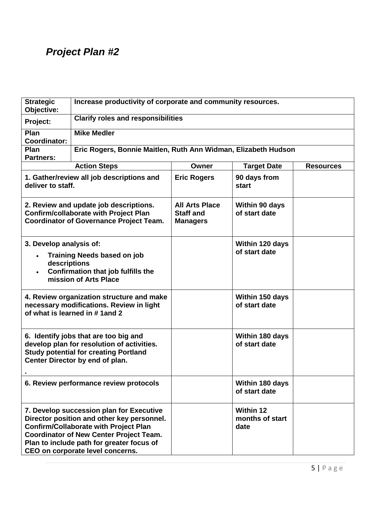| <b>Strategic</b><br>Objective:          | Increase productivity of corporate and community resources.                                                                                                                                                                                                               |                                                              |                                             |                  |
|-----------------------------------------|---------------------------------------------------------------------------------------------------------------------------------------------------------------------------------------------------------------------------------------------------------------------------|--------------------------------------------------------------|---------------------------------------------|------------------|
| Project:                                | <b>Clarify roles and responsibilities</b>                                                                                                                                                                                                                                 |                                                              |                                             |                  |
| Plan<br><b>Coordinator:</b>             | <b>Mike Medler</b>                                                                                                                                                                                                                                                        |                                                              |                                             |                  |
| Plan<br><b>Partners:</b>                | Eric Rogers, Bonnie Maitlen, Ruth Ann Widman, Elizabeth Hudson                                                                                                                                                                                                            |                                                              |                                             |                  |
|                                         | <b>Action Steps</b>                                                                                                                                                                                                                                                       | Owner                                                        | <b>Target Date</b>                          | <b>Resources</b> |
| deliver to staff.                       | 1. Gather/review all job descriptions and                                                                                                                                                                                                                                 | <b>Eric Rogers</b>                                           | 90 days from<br>start                       |                  |
|                                         | 2. Review and update job descriptions.<br><b>Confirm/collaborate with Project Plan</b><br><b>Coordinator of Governance Project Team.</b>                                                                                                                                  | <b>All Arts Place</b><br><b>Staff and</b><br><b>Managers</b> | Within 90 days<br>of start date             |                  |
| 3. Develop analysis of:<br>descriptions | <b>Training Needs based on job</b><br>Confirmation that job fulfills the<br>mission of Arts Place                                                                                                                                                                         |                                                              | Within 120 days<br>of start date            |                  |
|                                         | 4. Review organization structure and make<br>necessary modifications. Review in light<br>of what is learned in #1and 2                                                                                                                                                    |                                                              | Within 150 days<br>of start date            |                  |
|                                         | 6. Identify jobs that are too big and<br>develop plan for resolution of activities.<br><b>Study potential for creating Portland</b><br>Center Director by end of plan.                                                                                                    |                                                              | Within 180 days<br>of start date            |                  |
|                                         | 6. Review performance review protocols                                                                                                                                                                                                                                    |                                                              | Within 180 days<br>of start date            |                  |
|                                         | 7. Develop succession plan for Executive<br>Director position and other key personnel.<br><b>Confirm/Collaborate with Project Plan</b><br><b>Coordinator of New Center Project Team.</b><br>Plan to include path for greater focus of<br>CEO on corporate level concerns. |                                                              | <b>Within 12</b><br>months of start<br>date |                  |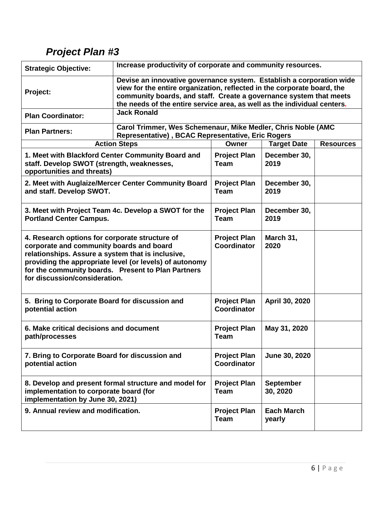| <b>Strategic Objective:</b>                                                                                                                                                                                                                                                                       | Increase productivity of corporate and community resources.                                                                                                                                                                                                                                       |                                           |                              |                  |  |
|---------------------------------------------------------------------------------------------------------------------------------------------------------------------------------------------------------------------------------------------------------------------------------------------------|---------------------------------------------------------------------------------------------------------------------------------------------------------------------------------------------------------------------------------------------------------------------------------------------------|-------------------------------------------|------------------------------|------------------|--|
| Project:                                                                                                                                                                                                                                                                                          | Devise an innovative governance system. Establish a corporation wide<br>view for the entire organization, reflected in the corporate board, the<br>community boards, and staff. Create a governance system that meets<br>the needs of the entire service area, as well as the individual centers. |                                           |                              |                  |  |
| <b>Plan Coordinator:</b>                                                                                                                                                                                                                                                                          | <b>Jack Ronald</b>                                                                                                                                                                                                                                                                                |                                           |                              |                  |  |
| <b>Plan Partners:</b>                                                                                                                                                                                                                                                                             | Carol Trimmer, Wes Schemenaur, Mike Medler, Chris Noble (AMC<br>Representative), BCAC Representative, Eric Rogers                                                                                                                                                                                 |                                           |                              |                  |  |
|                                                                                                                                                                                                                                                                                                   | <b>Action Steps</b>                                                                                                                                                                                                                                                                               | Owner                                     | <b>Target Date</b>           | <b>Resources</b> |  |
| staff. Develop SWOT (strength, weaknesses,<br>opportunities and threats)                                                                                                                                                                                                                          | 1. Meet with Blackford Center Community Board and                                                                                                                                                                                                                                                 | <b>Project Plan</b><br><b>Team</b>        | December 30,<br>2019         |                  |  |
| and staff. Develop SWOT.                                                                                                                                                                                                                                                                          | 2. Meet with Auglaize/Mercer Center Community Board                                                                                                                                                                                                                                               | <b>Project Plan</b><br><b>Team</b>        | December 30,<br>2019         |                  |  |
| 3. Meet with Project Team 4c. Develop a SWOT for the<br><b>Portland Center Campus.</b>                                                                                                                                                                                                            | <b>Project Plan</b><br><b>Team</b>                                                                                                                                                                                                                                                                | December 30,<br>2019                      |                              |                  |  |
| 4. Research options for corporate structure of<br>corporate and community boards and board<br>relationships. Assure a system that is inclusive,<br>providing the appropriate level (or levels) of autonomy<br>for the community boards. Present to Plan Partners<br>for discussion/consideration. |                                                                                                                                                                                                                                                                                                   | <b>Project Plan</b><br>Coordinator        | March 31,<br>2020            |                  |  |
| 5. Bring to Corporate Board for discussion and<br>potential action                                                                                                                                                                                                                                |                                                                                                                                                                                                                                                                                                   | <b>Project Plan</b><br><b>Coordinator</b> | April 30, 2020               |                  |  |
| 6. Make critical decisions and document<br>path/processes                                                                                                                                                                                                                                         |                                                                                                                                                                                                                                                                                                   | <b>Project Plan</b><br><b>Team</b>        | May 31, 2020                 |                  |  |
| 7. Bring to Corporate Board for discussion and<br>potential action                                                                                                                                                                                                                                |                                                                                                                                                                                                                                                                                                   | <b>Project Plan</b><br><b>Coordinator</b> | June 30, 2020                |                  |  |
| 8. Develop and present formal structure and model for<br>implementation to corporate board (for<br>implementation by June 30, 2021)                                                                                                                                                               |                                                                                                                                                                                                                                                                                                   | <b>Project Plan</b><br><b>Team</b>        | <b>September</b><br>30, 2020 |                  |  |
| 9. Annual review and modification.                                                                                                                                                                                                                                                                |                                                                                                                                                                                                                                                                                                   | <b>Project Plan</b><br><b>Team</b>        | <b>Each March</b><br>yearly  |                  |  |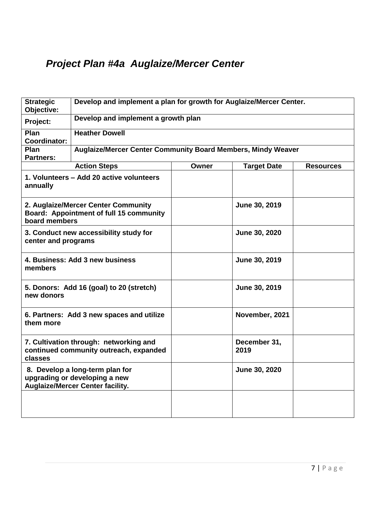## *Project Plan #4a Auglaize/Mercer Center*

| <b>Strategic</b><br>Objective: | Develop and implement a plan for growth for Auglaize/Mercer Center.                                         |              |                      |                  |
|--------------------------------|-------------------------------------------------------------------------------------------------------------|--------------|----------------------|------------------|
| Project:                       | Develop and implement a growth plan                                                                         |              |                      |                  |
| Plan<br><b>Coordinator:</b>    | <b>Heather Dowell</b>                                                                                       |              |                      |                  |
| Plan<br><b>Partners:</b>       | <b>Auglaize/Mercer Center Community Board Members, Mindy Weaver</b>                                         |              |                      |                  |
|                                | <b>Action Steps</b>                                                                                         | <b>Owner</b> | <b>Target Date</b>   | <b>Resources</b> |
| annually                       | 1. Volunteers - Add 20 active volunteers                                                                    |              |                      |                  |
| board members                  | 2. Auglaize/Mercer Center Community<br>Board: Appointment of full 15 community                              |              | June 30, 2019        |                  |
| center and programs            | 3. Conduct new accessibility study for                                                                      |              | June 30, 2020        |                  |
| members                        | 4. Business: Add 3 new business                                                                             |              | June 30, 2019        |                  |
| new donors                     | 5. Donors: Add 16 (goal) to 20 (stretch)                                                                    |              | June 30, 2019        |                  |
| them more                      | 6. Partners: Add 3 new spaces and utilize                                                                   |              | November, 2021       |                  |
| classes                        | 7. Cultivation through: networking and<br>continued community outreach, expanded                            |              | December 31,<br>2019 |                  |
|                                | 8. Develop a long-term plan for<br>upgrading or developing a new<br><b>Auglaize/Mercer Center facility.</b> |              | June 30, 2020        |                  |
|                                |                                                                                                             |              |                      |                  |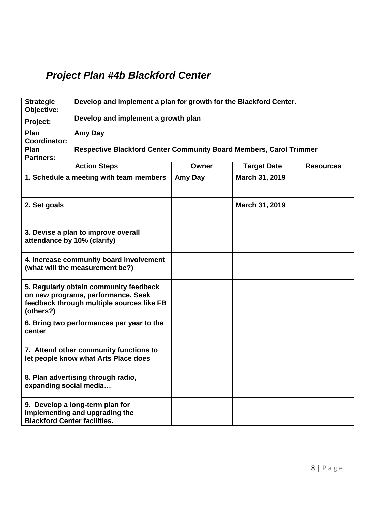## *Project Plan #4b Blackford Center*

| <b>Strategic</b><br>Objective:                                                                                                         | Develop and implement a plan for growth for the Blackford Center.          |         |                    |                  |
|----------------------------------------------------------------------------------------------------------------------------------------|----------------------------------------------------------------------------|---------|--------------------|------------------|
| Project:                                                                                                                               | Develop and implement a growth plan                                        |         |                    |                  |
| Plan<br><b>Coordinator:</b>                                                                                                            | Amy Day                                                                    |         |                    |                  |
| Plan<br><b>Partners:</b>                                                                                                               | Respective Blackford Center Community Board Members, Carol Trimmer         |         |                    |                  |
|                                                                                                                                        | <b>Action Steps</b>                                                        | Owner   | <b>Target Date</b> | <b>Resources</b> |
|                                                                                                                                        | 1. Schedule a meeting with team members                                    | Amy Day | March 31, 2019     |                  |
| 2. Set goals                                                                                                                           |                                                                            |         | March 31, 2019     |                  |
| 3. Devise a plan to improve overall<br>attendance by 10% (clarify)                                                                     |                                                                            |         |                    |                  |
|                                                                                                                                        | 4. Increase community board involvement<br>(what will the measurement be?) |         |                    |                  |
| 5. Regularly obtain community feedback<br>on new programs, performance. Seek<br>feedback through multiple sources like FB<br>(others?) |                                                                            |         |                    |                  |
| center                                                                                                                                 | 6. Bring two performances per year to the                                  |         |                    |                  |
| 7. Attend other community functions to<br>let people know what Arts Place does                                                         |                                                                            |         |                    |                  |
| 8. Plan advertising through radio,<br>expanding social media                                                                           |                                                                            |         |                    |                  |
| <b>Blackford Center facilities.</b>                                                                                                    | 9. Develop a long-term plan for<br>implementing and upgrading the          |         |                    |                  |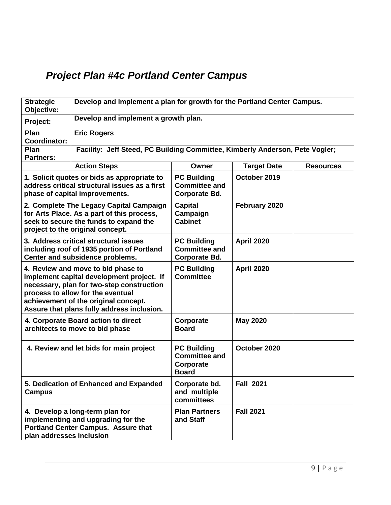## *Project Plan #4c Portland Center Campus*

| <b>Strategic</b><br>Objective:                                                                                                                                                                                                                                                                                         | Develop and implement a plan for growth for the Portland Center Campus.                                                                                                                                       |                                                                         |                    |                  |  |
|------------------------------------------------------------------------------------------------------------------------------------------------------------------------------------------------------------------------------------------------------------------------------------------------------------------------|---------------------------------------------------------------------------------------------------------------------------------------------------------------------------------------------------------------|-------------------------------------------------------------------------|--------------------|------------------|--|
| Project:                                                                                                                                                                                                                                                                                                               | Develop and implement a growth plan.                                                                                                                                                                          |                                                                         |                    |                  |  |
| Plan<br><b>Coordinator:</b>                                                                                                                                                                                                                                                                                            | <b>Eric Rogers</b>                                                                                                                                                                                            |                                                                         |                    |                  |  |
| Plan<br><b>Partners:</b>                                                                                                                                                                                                                                                                                               | Facility: Jeff Steed, PC Building Committee, Kimberly Anderson, Pete Vogler;                                                                                                                                  |                                                                         |                    |                  |  |
|                                                                                                                                                                                                                                                                                                                        | <b>Action Steps</b>                                                                                                                                                                                           | Owner                                                                   | <b>Target Date</b> | <b>Resources</b> |  |
|                                                                                                                                                                                                                                                                                                                        | <b>PC Building</b><br>October 2019<br>1. Solicit quotes or bids as appropriate to<br>address critical structural issues as a first<br><b>Committee and</b><br>phase of capital improvements.<br>Corporate Bd. |                                                                         |                    |                  |  |
| 2. Complete The Legacy Capital Campaign<br><b>Capital</b><br>February 2020<br>for Arts Place. As a part of this process,<br>Campaign<br>seek to secure the funds to expand the<br><b>Cabinet</b><br>project to the original concept.                                                                                   |                                                                                                                                                                                                               |                                                                         |                    |                  |  |
|                                                                                                                                                                                                                                                                                                                        | 3. Address critical structural issues<br><b>April 2020</b><br><b>PC Building</b><br>including roof of 1935 portion of Portland<br><b>Committee and</b><br>Center and subsidence problems.<br>Corporate Bd.    |                                                                         |                    |                  |  |
| <b>April 2020</b><br>4. Review and move to bid phase to<br><b>PC Building</b><br><b>Committee</b><br>implement capital development project. If<br>necessary, plan for two-step construction<br>process to allow for the eventual<br>achievement of the original concept.<br>Assure that plans fully address inclusion. |                                                                                                                                                                                                               |                                                                         |                    |                  |  |
|                                                                                                                                                                                                                                                                                                                        | 4. Corporate Board action to direct<br>architects to move to bid phase                                                                                                                                        | Corporate<br><b>Board</b>                                               | <b>May 2020</b>    |                  |  |
|                                                                                                                                                                                                                                                                                                                        | 4. Review and let bids for main project                                                                                                                                                                       | <b>PC Building</b><br><b>Committee and</b><br>Corporate<br><b>Board</b> | October 2020       |                  |  |
| <b>Campus</b>                                                                                                                                                                                                                                                                                                          | 5. Dedication of Enhanced and Expanded                                                                                                                                                                        | Corporate bd.<br>and multiple<br>committees                             | <b>Fall 2021</b>   |                  |  |
| plan addresses inclusion                                                                                                                                                                                                                                                                                               | 4. Develop a long-term plan for<br>implementing and upgrading for the<br><b>Portland Center Campus. Assure that</b>                                                                                           | <b>Plan Partners</b><br>and Staff                                       | <b>Fall 2021</b>   |                  |  |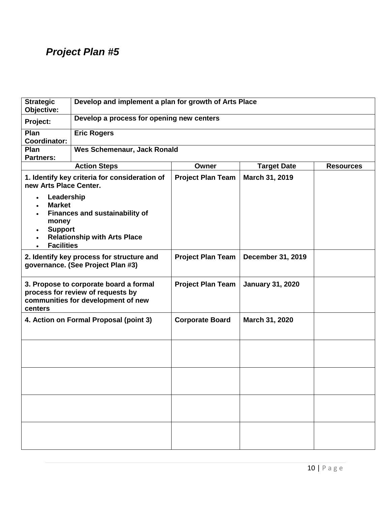| <b>Strategic</b><br>Objective:                                                                                     | Develop and implement a plan for growth of Arts Place                                                             |                          |                         |                  |
|--------------------------------------------------------------------------------------------------------------------|-------------------------------------------------------------------------------------------------------------------|--------------------------|-------------------------|------------------|
| Project:                                                                                                           | Develop a process for opening new centers                                                                         |                          |                         |                  |
| Plan<br><b>Coordinator:</b>                                                                                        | <b>Eric Rogers</b>                                                                                                |                          |                         |                  |
| Plan<br><b>Partners:</b>                                                                                           | <b>Wes Schemenaur, Jack Ronald</b>                                                                                |                          |                         |                  |
|                                                                                                                    | <b>Action Steps</b>                                                                                               | Owner                    | <b>Target Date</b>      | <b>Resources</b> |
| new Arts Place Center.                                                                                             | 1. Identify key criteria for consideration of                                                                     | <b>Project Plan Team</b> | March 31, 2019          |                  |
| Leadership<br>$\bullet$<br><b>Market</b><br>$\bullet$<br>money<br><b>Support</b><br>$\bullet$<br><b>Facilities</b> | <b>Finances and sustainability of</b><br><b>Relationship with Arts Place</b>                                      |                          |                         |                  |
|                                                                                                                    | 2. Identify key process for structure and<br>governance. (See Project Plan #3)                                    | <b>Project Plan Team</b> | December 31, 2019       |                  |
| centers                                                                                                            | 3. Propose to corporate board a formal<br>process for review of requests by<br>communities for development of new | <b>Project Plan Team</b> | <b>January 31, 2020</b> |                  |
|                                                                                                                    | 4. Action on Formal Proposal (point 3)                                                                            | <b>Corporate Board</b>   | March 31, 2020          |                  |
|                                                                                                                    |                                                                                                                   |                          |                         |                  |
|                                                                                                                    |                                                                                                                   |                          |                         |                  |
|                                                                                                                    |                                                                                                                   |                          |                         |                  |
|                                                                                                                    |                                                                                                                   |                          |                         |                  |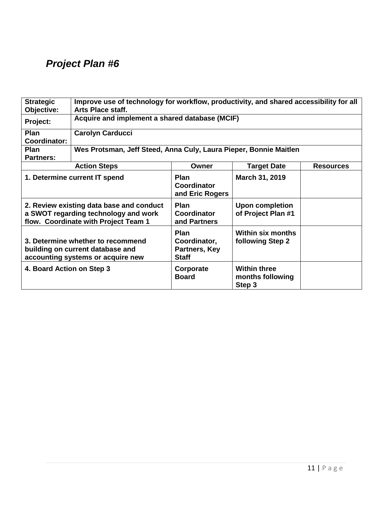| <b>Strategic</b>                                                                                                                                                                                                              | Improve use of technology for workflow, productivity, and shared accessibility for all                     |                                                              |                                                   |                  |
|-------------------------------------------------------------------------------------------------------------------------------------------------------------------------------------------------------------------------------|------------------------------------------------------------------------------------------------------------|--------------------------------------------------------------|---------------------------------------------------|------------------|
| Objective:                                                                                                                                                                                                                    | Arts Place staff.                                                                                          |                                                              |                                                   |                  |
| Project:                                                                                                                                                                                                                      | Acquire and implement a shared database (MCIF)                                                             |                                                              |                                                   |                  |
| Plan                                                                                                                                                                                                                          | <b>Carolyn Carducci</b>                                                                                    |                                                              |                                                   |                  |
| Coordinator:                                                                                                                                                                                                                  |                                                                                                            |                                                              |                                                   |                  |
| <b>Plan</b>                                                                                                                                                                                                                   | Wes Protsman, Jeff Steed, Anna Culy, Laura Pieper, Bonnie Maitlen                                          |                                                              |                                                   |                  |
| <b>Partners:</b>                                                                                                                                                                                                              |                                                                                                            |                                                              |                                                   |                  |
|                                                                                                                                                                                                                               | <b>Action Steps</b>                                                                                        | Owner                                                        | <b>Target Date</b>                                | <b>Resources</b> |
| 1. Determine current IT spend<br><b>Plan</b><br>March 31, 2019<br>Coordinator<br>and Eric Rogers                                                                                                                              |                                                                                                            |                                                              |                                                   |                  |
| 2. Review existing data base and conduct<br><b>Plan</b><br><b>Upon completion</b><br>a SWOT regarding technology and work<br>of Project Plan #1<br><b>Coordinator</b><br>flow. Coordinate with Project Team 1<br>and Partners |                                                                                                            |                                                              |                                                   |                  |
|                                                                                                                                                                                                                               | 3. Determine whether to recommend<br>building on current database and<br>accounting systems or acquire new | <b>Plan</b><br>Coordinator,<br>Partners, Key<br><b>Staff</b> | <b>Within six months</b><br>following Step 2      |                  |
| 4. Board Action on Step 3                                                                                                                                                                                                     |                                                                                                            | Corporate<br><b>Board</b>                                    | <b>Within three</b><br>months following<br>Step 3 |                  |